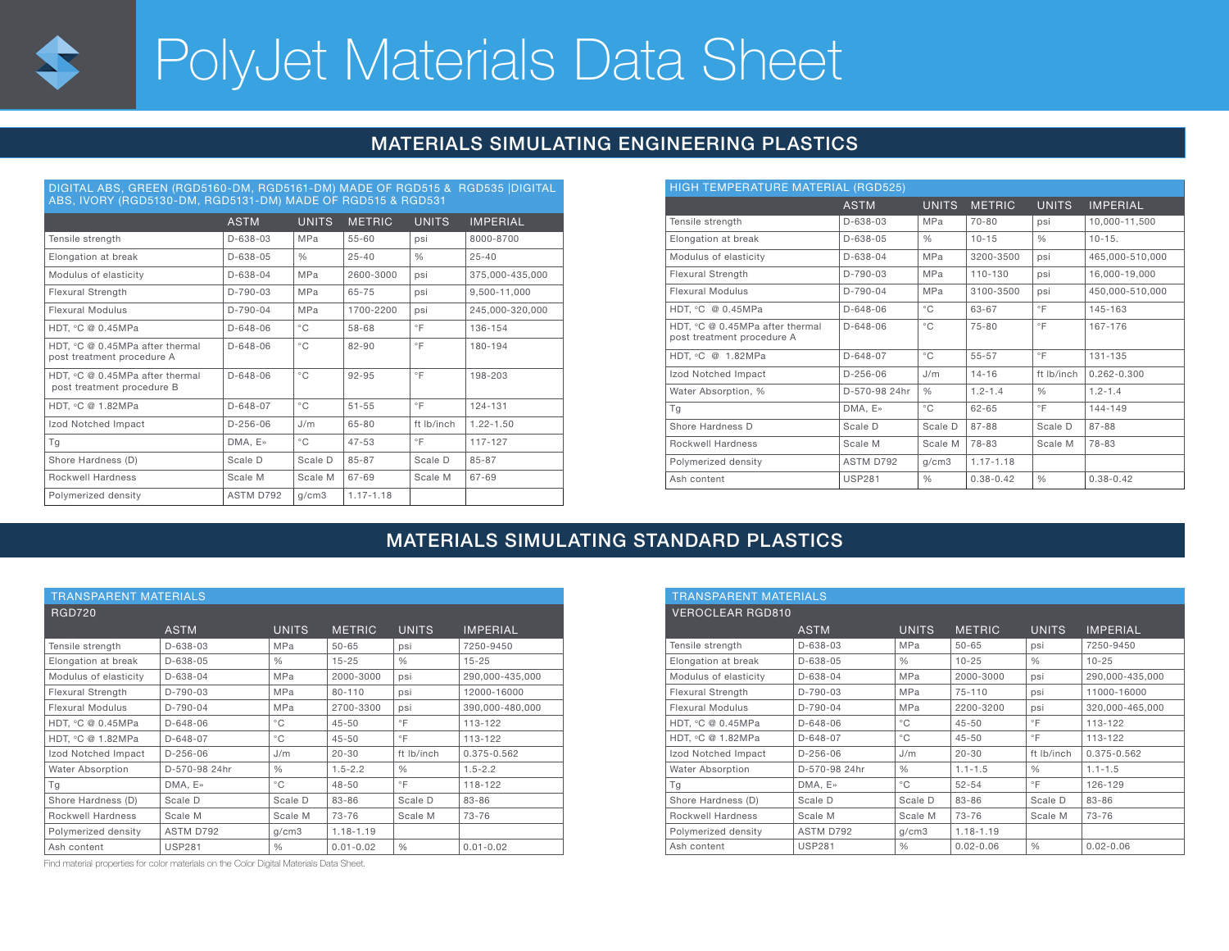

# PolyJet Materials Data Sheet

### MATERIALS SIMULATING ENGINEERING PLASTICS

| DIGITAL ABS, GREEN (RGD5160-DM, RGD5161-DM) MADE OF RGD515 & RGD535 DIGITAL<br>ABS, IVORY (RGD5130-DM, RGD5131-DM) MADE OF RGD515 & RGD531 |                |               |               |               |                 |  |  |  |
|--------------------------------------------------------------------------------------------------------------------------------------------|----------------|---------------|---------------|---------------|-----------------|--|--|--|
|                                                                                                                                            | <b>ASTM</b>    | <b>UNITS</b>  | <b>METRIC</b> | <b>UNITS</b>  | <b>IMPERIAL</b> |  |  |  |
| Tensile strength                                                                                                                           | $D - 638 - 03$ | MPa           | $55 - 60$     | psi           | 8000-8700       |  |  |  |
| Elongation at break                                                                                                                        | $D-638-05$     | $\frac{0}{0}$ | $25 - 40$     | $\frac{0}{0}$ | $25 - 40$       |  |  |  |
| Modulus of elasticity                                                                                                                      | $D-638-04$     | MPa           | 2600-3000     | psi           | 375,000-435,000 |  |  |  |
| Flexural Strength                                                                                                                          | $D-790-03$     | MPa           | 65-75         | psi           | 9.500-11.000    |  |  |  |
| Flexural Modulus                                                                                                                           | $D-790-04$     | MPa           | 1700-2200     | psi           | 245,000-320,000 |  |  |  |
| HDT. °C @ 0.45MPa                                                                                                                          | $D - 648 - 06$ | $^{\circ}$ C  | 58-68         | $\circ$ F     | 136-154         |  |  |  |
| HDT, °C @ 0.45MPa after thermal<br>post treatment procedure A                                                                              | $D - 648 - 06$ | $^{\circ}$ C  | $82 - 90$     | $\circ$ F     | 180-194         |  |  |  |
| HDT. °C @ 0.45MPa after thermal<br>post treatment procedure B                                                                              | $D - 648 - 06$ | $^{\circ}$ C  | $92 - 95$     | $\circ$ F     | 198-203         |  |  |  |
| HDT, °C @ 1.82MPa                                                                                                                          | $D-648-07$     | $^{\circ}$ C  | $51 - 55$     | $\circ$ F     | 124-131         |  |  |  |
| Izod Notched Impact                                                                                                                        | $D-256-06$     | J/m           | 65-80         | ft Ib/inch    | $1.22 - 1.50$   |  |  |  |
| Τq                                                                                                                                         | DMA, E»        | $^{\circ}$ C  | $47 - 53$     | $\circ$ F     | 117-127         |  |  |  |
| Shore Hardness (D)                                                                                                                         | Scale D        | Scale D       | 85-87         | Scale D       | 85-87           |  |  |  |
| Rockwell Hardness                                                                                                                          | Scale M        | Scale M       | 67-69         | Scale M       | 67-69           |  |  |  |
| Polymerized density                                                                                                                        | ASTM D792      | q/cm3         | $1.17 - 1.18$ |               |                 |  |  |  |

| HIGH TEMPERATURE MATERIAL (RGD525)                            |                |               |               |               |                 |  |  |  |
|---------------------------------------------------------------|----------------|---------------|---------------|---------------|-----------------|--|--|--|
|                                                               | <b>ASTM</b>    | <b>UNITS</b>  | <b>METRIC</b> | <b>UNITS</b>  | <b>IMPERIAL</b> |  |  |  |
| Tensile strength                                              | $D-638-03$     | MPa           | $70 - 80$     | psi           | 10,000-11,500   |  |  |  |
| Elongation at break                                           | $D-638-05$     | $\frac{0}{0}$ | $10 - 15$     | $\frac{0}{0}$ | $10 - 15.$      |  |  |  |
| Modulus of elasticity                                         | $D-638-04$     | MPa           | 3200-3500     | psi           | 465,000-510,000 |  |  |  |
| Flexural Strength                                             | $D-790-03$     | <b>MPa</b>    | 110-130       | psi           | 16,000-19,000   |  |  |  |
| <b>Flexural Modulus</b>                                       | $D-790-04$     | MPa           | 3100-3500     | psi           | 450,000-510,000 |  |  |  |
| HDT, °C @ 0.45MPa                                             | $D - 648 - 06$ | °C            | 63-67         | $\circ$ F     | 145-163         |  |  |  |
| HDT, °C @ 0.45MPa after thermal<br>post treatment procedure A | $D - 648 - 06$ | $^{\circ}$ C  | $75 - 80$     | $\circ$ F     | 167-176         |  |  |  |
| HDT. °C @ 1.82MPa                                             | $D-648-07$     | °C            | 55-57         | $\circ$ F     | 131-135         |  |  |  |
| Izod Notched Impact                                           | $D-256-06$     | J/m           | $14 - 16$     | ft Ib/inch    | $0.262 - 0.300$ |  |  |  |
| Water Absorption, %                                           | D-570-98 24hr  | $\frac{0}{0}$ | $1.2 - 1.4$   | $\frac{0}{0}$ | $1.2 - 1.4$     |  |  |  |
| Tg                                                            | DMA. E»        | °C            | $62 - 65$     | $\circ$ F     | 144-149         |  |  |  |
| Shore Hardness D                                              | Scale D        | Scale D       | 87-88         | Scale D       | 87-88           |  |  |  |
| Rockwell Hardness                                             | Scale M        | Scale M       | 78-83         | Scale M       | 78-83           |  |  |  |
| Polymerized density                                           | ASTM D792      | q/cm3         | $1.17 - 1.18$ |               |                 |  |  |  |
| Ash content                                                   | <b>USP281</b>  | $\frac{0}{0}$ | $0.38 - 0.42$ | $\frac{0}{0}$ | $0.38 - 0.42$   |  |  |  |

## MATERIALS SIMULATING STANDARD PLASTICS

| <b>TRANSPARENT MATERIALS</b> |               |               |               |               |                 |  |  |  |
|------------------------------|---------------|---------------|---------------|---------------|-----------------|--|--|--|
| <b>RGD720</b>                |               |               |               |               |                 |  |  |  |
|                              | <b>ASTM</b>   | <b>UNITS</b>  | <b>METRIC</b> | <b>UNITS</b>  | <b>IMPERIAL</b> |  |  |  |
| Tensile strength             | $D-638-03$    | MPa           | $50 - 65$     | psi           | 7250-9450       |  |  |  |
| Elongation at break          | D-638-05      | $\frac{0}{0}$ | $15 - 25$     | $\frac{0}{0}$ | $15 - 25$       |  |  |  |
| Modulus of elasticity        | $D-638-04$    | <b>MPa</b>    | 2000-3000     | psi           | 290,000-435,000 |  |  |  |
| Flexural Strength            | $D-790-03$    | MPa           | $80 - 110$    | psi           | 12000-16000     |  |  |  |
| Flexural Modulus             | $D-790-04$    | <b>MPa</b>    | 2700-3300     | psi           | 390.000-480.000 |  |  |  |
| HDT, °C @ 0.45MPa            | $D-648-06$    | $^{\circ}$ C  | $45 - 50$     | $\circ$ F     | 113-122         |  |  |  |
| HDT, °C @ 1.82MPa            | D-648-07      | $^{\circ}$ C  | $45 - 50$     | $\circ$ F     | 113-122         |  |  |  |
| Izod Notched Impact          | $D-256-06$    | J/m           | $20 - 30$     | ft Ib/inch    | 0.375-0.562     |  |  |  |
| Water Absorption             | D-570-98 24hr | $\frac{0}{0}$ | $1.5 - 2.2$   | $\frac{0}{0}$ | $1.5 - 2.2$     |  |  |  |
| Tg                           | DMA, E»       | $^{\circ}$ C  | $48 - 50$     | $\circ$ F     | 118-122         |  |  |  |
| Shore Hardness (D)           | Scale D       | Scale D       | 83-86         | Scale D       | 83-86           |  |  |  |
| Rockwell Hardness            | Scale M       | Scale M       | $73 - 76$     | Scale M       | $73 - 76$       |  |  |  |
| Polymerized density          | ASTM D792     | q/cm3         | $1.18 - 1.19$ |               |                 |  |  |  |
| Ash content                  | <b>USP281</b> | $\frac{0}{0}$ | $0.01 - 0.02$ | $\frac{0}{0}$ | $0.01 - 0.02$   |  |  |  |

Find material properties for color materials on the Color Digital Materials Data Sheet.

| <b>TRANSPARENT MATERIALS</b> |                |               |               |               |                 |  |  |  |
|------------------------------|----------------|---------------|---------------|---------------|-----------------|--|--|--|
| <b>VEROCLEAR RGD810</b>      |                |               |               |               |                 |  |  |  |
|                              | <b>ASTM</b>    | <b>UNITS</b>  | <b>METRIC</b> | <b>UNITS</b>  | <b>IMPERIAL</b> |  |  |  |
| Tensile strength             | $D - 638 - 03$ | MPa           | $50 - 65$     | psi           | 7250-9450       |  |  |  |
| Elongation at break          | $D-638-05$     | $\frac{0}{0}$ | $10 - 25$     | $\frac{0}{0}$ | $10 - 25$       |  |  |  |
| Modulus of elasticity        | $D-638-04$     | <b>MPa</b>    | 2000-3000     | psi           | 290.000-435.000 |  |  |  |
| Flexural Strength            | $D-790-03$     | <b>MPa</b>    | $75 - 110$    | psi           | 11000-16000     |  |  |  |
| <b>Flexural Modulus</b>      | $D-790-04$     | MPa           | 2200-3200     | psi           | 320.000-465.000 |  |  |  |
| HDT. °C @ 0.45MPa            | $D-648-06$     | $^{\circ}$ C  | $45 - 50$     | $\circ$ F     | 113-122         |  |  |  |
| HDT. °C @ 1.82MPa            | $D-648-07$     | $^{\circ}$ C  | $45 - 50$     | $\circ$ F     | 113-122         |  |  |  |
| Izod Notched Impact          | $D-256-06$     | J/m           | $20 - 30$     | ft Ib/inch    | 0.375-0.562     |  |  |  |
| Water Absorption             | D-570-98 24hr  | %             | $1.1 - 1.5$   | $\frac{0}{0}$ | $1.1 - 1.5$     |  |  |  |
| Tq                           | DMA. E»        | $^{\circ}$ C  | $52 - 54$     | $\circ$ F     | 126-129         |  |  |  |
| Shore Hardness (D)           | Scale D        | Scale D       | 83-86         | Scale D       | 83-86           |  |  |  |
| Rockwell Hardness            | Scale M        | Scale M       | 73-76         | Scale M       | $73 - 76$       |  |  |  |
| Polymerized density          | ASTM D792      | q/cm3         | 1.18-1.19     |               |                 |  |  |  |
| Ash content                  | <b>USP281</b>  | $\frac{0}{0}$ | $0.02 - 0.06$ | $\frac{0}{0}$ | $0.02 - 0.06$   |  |  |  |